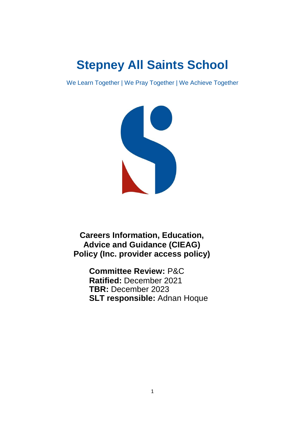# **Stepney All Saints School**

We Learn Together | We Pray Together | We Achieve Together



**Careers Information, Education, Advice and Guidance (CIEAG) Policy (Inc. provider access policy)**

> **Committee Review:** P&C **Ratified:** December 2021 **TBR:** December 2023 **SLT responsible:** Adnan Hoque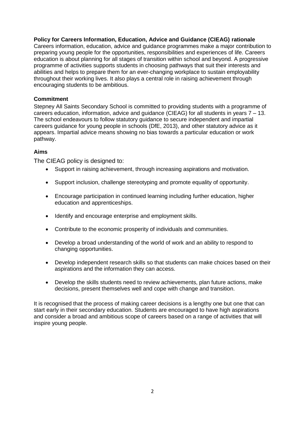#### **Policy for Careers Information, Education, Advice and Guidance (CIEAG) rationale**

Careers information, education, advice and guidance programmes make a major contribution to preparing young people for the opportunities, responsibilities and experiences of life. Careers education is about planning for all stages of transition within school and beyond. A progressive programme of activities supports students in choosing pathways that suit their interests and abilities and helps to prepare them for an ever-changing workplace to sustain employability throughout their working lives. It also plays a central role in raising achievement through encouraging students to be ambitious.

#### **Commitment**

Stepney All Saints Secondary School is committed to providing students with a programme of careers education, information, advice and guidance (CIEAG) for all students in years 7 – 13. The school endeavours to follow statutory guidance to secure independent and impartial careers guidance for young people in schools (DfE, 2013), and other statutory advice as it appears. Impartial advice means showing no bias towards a particular education or work pathway.

#### **Aims**

The CIEAG policy is designed to:

- Support in raising achievement, through increasing aspirations and motivation.
- Support inclusion, challenge stereotyping and promote equality of opportunity.
- Encourage participation in continued learning including further education, higher education and apprenticeships.
- Identify and encourage enterprise and employment skills.
- Contribute to the economic prosperity of individuals and communities.
- Develop a broad understanding of the world of work and an ability to respond to changing opportunities.
- Develop independent research skills so that students can make choices based on their aspirations and the information they can access.
- Develop the skills students need to review achievements, plan future actions, make decisions, present themselves well and cope with change and transition.

It is recognised that the process of making career decisions is a lengthy one but one that can start early in their secondary education. Students are encouraged to have high aspirations and consider a broad and ambitious scope of careers based on a range of activities that will inspire young people.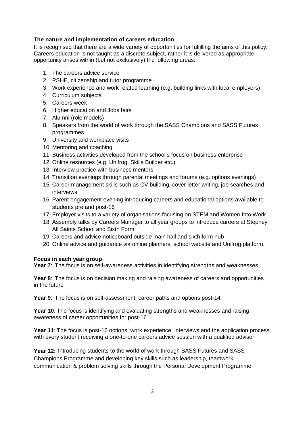#### **The nature and implementation of careers education**

It is recognised that there are a wide variety of opportunities for fulfilling the aims of this policy. Careers education is not taught as a discrete subject, rather it is delivered as appropriate opportunity arises within (but not exclusively) the following areas:

- 1. The careers advice service
- 2. PSHE, citizenship and tutor programme
- 3. Work experience and work related learning (e.g. building links with local employers)
- 4. Curriculum subjects
- 5. Careers week
- 6. Higher education and Jobs fairs
- 7. Alumni (role models)
- 8. Speakers from the world of work through the SASS Champions and SASS Futures programmes
- 9. University and workplace visits
- 10. Mentoring and coaching
- 11. Business activities developed from the school's focus on business enterprise
- 12. Online resources (e.g. Unifrog, Skills Builder etc.)
- 13. Interview practice with business mentors
- 14. Transition evenings through parental meetings and forums (e.g. options evenings)
- 15. Career management skills such as CV building, cover letter writing, job searches and interviews
- 16. Parent engagement evening introducing careers and educational options available to students pre and post-16
- 17. Employer visits to a variety of organisations focusing on STEM and Women Into Work
- 18. Assembly talks by Careers Manager to all year groups to introduce careers at Stepney All Saints School and Sixth Form
- 19. Careers and advice noticeboard outside main hall and sixth form hub
- 20. Online advice and guidance via online planners, school website and Unifrog platform.

#### **Focus in each year group**

**Year 7**: The focus is on self-awareness activities in identifying strengths and weaknesses

**Year 8**: The focus is on decision making and raising awareness of careers and opportunities in the future

**Year 9**: The focus is on self-assessment, career paths and options post-14.

**Year 10**: The focus is identifying and evaluating strengths and weaknesses and raising awareness of career opportunities for post-16

**Year 11**: The focus is post-16 options, work experience, interviews and the application process, with every student receiving a one-to-one careers advice session with a qualified advisor

**Year 12:** Introducing students to the world of work through SASS Futures and SASS Champions Programme and developing key skills such as leadership, teamwork, communication & problem solving skills through the Personal Development Programme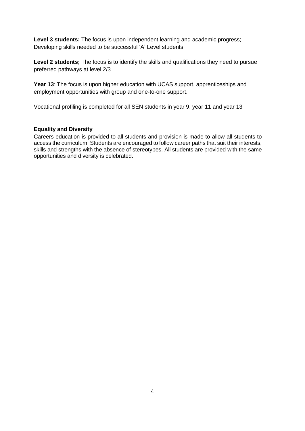**Level 3 students;** The focus is upon independent learning and academic progress; Developing skills needed to be successful 'A' Level students

Level 2 students; The focus is to identify the skills and qualifications they need to pursue preferred pathways at level 2/3

**Year 13**: The focus is upon higher education with UCAS support, apprenticeships and employment opportunities with group and one-to-one support.

Vocational profiling is completed for all SEN students in year 9, year 11 and year 13

#### **Equality and Diversity**

Careers education is provided to all students and provision is made to allow all students to access the curriculum. Students are encouraged to follow career paths that suit their interests, skills and strengths with the absence of stereotypes. All students are provided with the same opportunities and diversity is celebrated.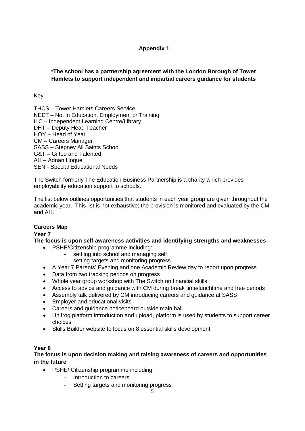# **Appendix 1**

# **\*The school has a partnership agreement with the London Borough of Tower Hamlets to support independent and impartial careers guidance for students**

### Key

THCS – Tower Hamlets Careers Service NEET – Not in Education, Employment or Training ILC – Independent Learning Centre/Library DHT – Deputy Head Teacher HOY – Head of Year CM – Careers Manager SASS – Stepney All Saints School G&T – Gifted and Talented AH – Adnan Hoque SEN - Special Educational Needs

The Switch formerly The Education Business Partnership is a charity which provides employability education support to schools.

The list below outlines opportunities that students in each year group are given throughout the academic year. This list is not exhaustive; the provision is monitored and evaluated by the CM and AH.

# **Careers Map**

#### **Year 7**

**The focus is upon self-awareness activities and identifying strengths and weaknesses**

- PSHE/Citizenship programme including:
	- settling into school and managing self
	- setting targets and monitoring progress
- A Year 7 Parents' Evening and one Academic Review day to report upon progress
- Data from two tracking periods on progress
- Whole year group workshop with The Switch on financial skills
- Access to advice and guidance with CM during break time/lunchtime and free periods
- Assembly talk delivered by CM introducing careers and guidance at SASS
- Employer and educational visits
- Careers and guidance noticeboard outside main hall
- Unifrog platform introduction and upload, platform is used by students to support career choices
- Skills Builder website to focus on 8 essential skills development

#### **Year 8**

**The focus is upon decision making and raising awareness of careers and opportunities in the future** 

- PSHE/ Citizenship programme including:
	- Introduction to careers
	- Setting targets and monitoring progress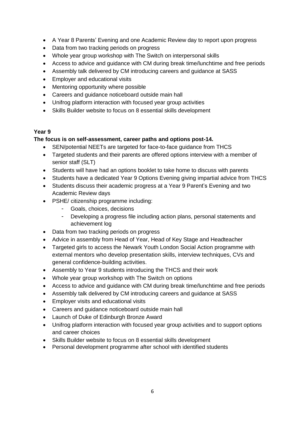- A Year 8 Parents' Evening and one Academic Review day to report upon progress
- Data from two tracking periods on progress
- Whole year group workshop with The Switch on interpersonal skills
- Access to advice and guidance with CM during break time/lunchtime and free periods
- Assembly talk delivered by CM introducing careers and guidance at SASS
- Employer and educational visits
- Mentoring opportunity where possible
- Careers and guidance noticeboard outside main hall
- Unifrog platform interaction with focused year group activities
- Skills Builder website to focus on 8 essential skills development

# **Year 9**

# **The focus is on self-assessment, career paths and options post-14.**

- SEN/potential NEETs are targeted for face-to-face guidance from THCS
- Targeted students and their parents are offered options interview with a member of senior staff (SLT)
- Students will have had an options booklet to take home to discuss with parents
- Students have a dedicated Year 9 Options Evening giving impartial advice from THCS
- Students discuss their academic progress at a Year 9 Parent's Evening and two Academic Review days
- PSHE/ citizenship programme including:
	- Goals, choices, decisions
	- Developing a progress file including action plans, personal statements and achievement log
- Data from two tracking periods on progress
- Advice in assembly from Head of Year, Head of Key Stage and Headteacher
- Targeted girls to access the Newark Youth London Social Action programme with external mentors who develop presentation skills, interview techniques, CVs and general confidence-building activities.
- Assembly to Year 9 students introducing the THCS and their work
- Whole year group workshop with The Switch on options
- Access to advice and guidance with CM during break time/lunchtime and free periods
- Assembly talk delivered by CM introducing careers and guidance at SASS
- Employer visits and educational visits
- Careers and guidance noticeboard outside main hall
- Launch of Duke of Edinburgh Bronze Award
- Unifrog platform interaction with focused year group activities and to support options and career choices
- Skills Builder website to focus on 8 essential skills development
- Personal development programme after school with identified students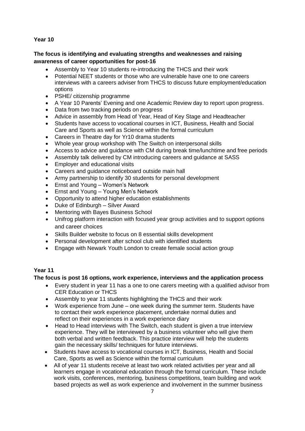#### **Year 10**

#### **The focus is identifying and evaluating strengths and weaknesses and raising awareness of career opportunities for post-16**

- Assembly to Year 10 students re-introducing the THCS and their work
- Potential NEET students or those who are vulnerable have one to one careers interviews with a careers adviser from THCS to discuss future employment/education options
- PSHE/ citizenship programme
- A Year 10 Parents' Evening and one Academic Review day to report upon progress.
- Data from two tracking periods on progress
- Advice in assembly from Head of Year, Head of Key Stage and Headteacher
- Students have access to vocational courses in ICT, Business, Health and Social Care and Sports as well as Science within the formal curriculum
- Careers in Theatre day for Yr10 drama students
- Whole year group workshop with The Switch on interpersonal skills
- Access to advice and guidance with CM during break time/lunchtime and free periods
- Assembly talk delivered by CM introducing careers and guidance at SASS
- Employer and educational visits
- Careers and guidance noticeboard outside main hall
- Army partnership to identify 30 students for personal development
- Ernst and Young Women's Network
- Ernst and Young Young Men's Network
- Opportunity to attend higher education establishments
- Duke of Edinburgh Silver Award
- Mentoring with Bayes Business School
- Unifrog platform interaction with focused year group activities and to support options and career choices
- Skills Builder website to focus on 8 essential skills development
- Personal development after school club with identified students
- Engage with Newark Youth London to create female social action group

# **Year 11**

#### **The focus is post 16 options, work experience, interviews and the application process**

- Every student in year 11 has a one to one carers meeting with a qualified advisor from CER Education or THCS
- Assembly to year 11 students highlighting the THCS and their work
- Work experience from June one week during the summer term. Students have to contact their work experience placement, undertake normal duties and reflect on their experiences in a work experience diary
- Head to Head interviews with The Switch, each student is given a true interview experience. They will be interviewed by a business volunteer who will give them both verbal and written feedback. This practice interview will help the students gain the necessary skills/ techniques for future interviews.
- Students have access to vocational courses in ICT, Business, Health and Social Care, Sports as well as Science within the formal curriculum
- All of year 11 students receive at least two work related activities per year and all learners engage in vocational education through the formal curriculum. These include work visits, conferences, mentoring, business competitions, team building and work based projects as well as work experience and involvement in the summer business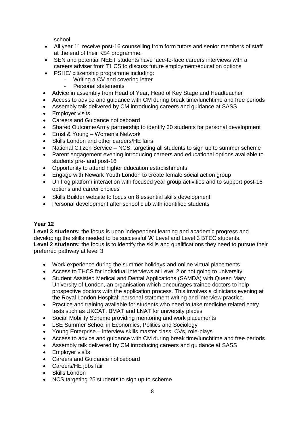school.

- All year 11 receive post-16 counselling from form tutors and senior members of staff at the end of their KS4 programme.
- SEN and potential NEET students have face-to-face careers interviews with a careers adviser from THCS to discuss future employment/education options
- PSHE/ citizenship programme including:
	- Writing a CV and covering letter
	- Personal statements
- Advice in assembly from Head of Year, Head of Key Stage and Headteacher
- Access to advice and guidance with CM during break time/lunchtime and free periods
- Assembly talk delivered by CM introducing careers and guidance at SASS
- Employer visits
- Careers and Guidance noticeboard
- Shared Outcome/Army partnership to identify 30 students for personal development
- Ernst & Young Women's Network
- Skills London and other careers/HE fairs
- National Citizen Service NCS, targeting all students to sign up to summer scheme
- Parent engagement evening introducing careers and educational options available to students pre- and post-16
- Opportunity to attend higher education establishments
- Engage with Newark Youth London to create female social action group
- Unifrog platform interaction with focused year group activities and to support post-16 options and career choices
- Skills Builder website to focus on 8 essential skills development
- Personal development after school club with identified students

# **Year 12**

**Level 3 students;** the focus is upon independent learning and academic progress and developing the skills needed to be successful 'A' Level and Level 3 BTEC students. **Level 2 students;** the focus is to identify the skills and qualifications they need to pursue their preferred pathway at level 3

- Work experience during the summer holidays and online virtual placements
- Access to THCS for individual interviews at Level 2 or not going to university
- Student Assisted Medical and Dental Applications (SAMDA) with Queen Mary University of London, an organisation which encourages trainee doctors to help prospective doctors with the application process. This involves a clinicians evening at the Royal London Hospital; personal statement writing and interview practice
- Practice and training available for students who need to take medicine related entry tests such as UKCAT, BMAT and LNAT for university places
- Social Mobility Scheme providing mentoring and work placements
- LSE Summer School in Economics, Politics and Sociology
- Young Enterprise interview skills master class, CVs, role-plays
- Access to advice and guidance with CM during break time/lunchtime and free periods
- Assembly talk delivered by CM introducing careers and guidance at SASS
- Employer visits
- Careers and Guidance noticeboard
- Careers/HE jobs fair
- Skills London
- NCS targeting 25 students to sign up to scheme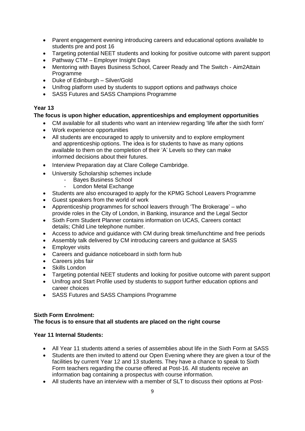- Parent engagement evening introducing careers and educational options available to students pre and post 16
- Targeting potential NEET students and looking for positive outcome with parent support
- Pathway CTM Employer Insight Days
- Mentoring with Bayes Business School, Career Ready and The Switch Aim2Attain Programme
- Duke of Edinburgh Silver/Gold
- Unifrog platform used by students to support options and pathways choice
- SASS Futures and SASS Champions Programme

# **Year 13**

# **The focus is upon higher education, apprenticeships and employment opportunities**

- CM available for all students who want an interview regarding 'life after the sixth form'
- Work experience opportunities
- All students are encouraged to apply to university and to explore employment and apprenticeship options. The idea is for students to have as many options available to them on the completion of their 'A' Levels so they can make informed decisions about their futures.
- Interview Preparation day at Clare College Cambridge.
- University Scholarship schemes include
	- Bayes Business School
	- London Metal Exchange
- Students are also encouraged to apply for the KPMG School Leavers Programme
- Guest speakers from the world of work
- Apprenticeship programmes for school leavers through 'The Brokerage' who provide roles in the City of London, in Banking, insurance and the Legal Sector
- Sixth Form Student Planner contains information on UCAS, Careers contact details; Child Line telephone number.
- Access to advice and guidance with CM during break time/lunchtime and free periods
- Assembly talk delivered by CM introducing careers and guidance at SASS
- Employer visits
- Careers and guidance noticeboard in sixth form hub<br>• Careers iobs fair
- Careers jobs fair
- Skills London
- Targeting potential NEET students and looking for positive outcome with parent support
- Unifrog and Start Profile used by students to support further education options and career choices
- SASS Futures and SASS Champions Programme

#### **Sixth Form Enrolment: The focus is to ensure that all students are placed on the right course**

# **Year 11 Internal Students:**

- All Year 11 students attend a series of assemblies about life in the Sixth Form at SASS
- Students are then invited to attend our Open Evening where they are given a tour of the facilities by current Year 12 and 13 students. They have a chance to speak to Sixth Form teachers regarding the course offered at Post-16. All students receive an information bag containing a prospectus with course information.
- All students have an interview with a member of SLT to discuss their options at Post-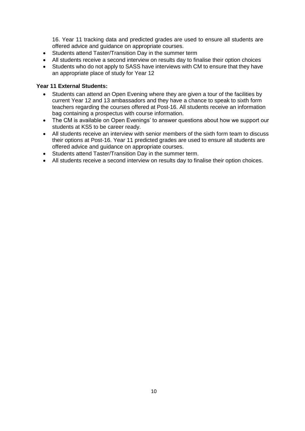16. Year 11 tracking data and predicted grades are used to ensure all students are offered advice and guidance on appropriate courses.

- Students attend Taster/Transition Day in the summer term
- All students receive a second interview on results day to finalise their option choices
- Students who do not apply to SASS have interviews with CM to ensure that they have an appropriate place of study for Year 12

#### **Year 11 External Students:**

- Students can attend an Open Evening where they are given a tour of the facilities by current Year 12 and 13 ambassadors and they have a chance to speak to sixth form teachers regarding the courses offered at Post-16. All students receive an information bag containing a prospectus with course information.
- The CM is available on Open Evenings' to answer questions about how we support our students at KS5 to be career ready.
- All students receive an interview with senior members of the sixth form team to discuss their options at Post-16. Year 11 predicted grades are used to ensure all students are offered advice and guidance on appropriate courses.
- Students attend Taster/Transition Day in the summer term.
- All students receive a second interview on results day to finalise their option choices.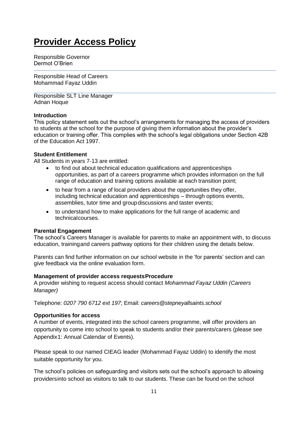# **Provider Access Policy**

Responsible Governor Dermot O'Brien

Responsible Head of Careers Mohammad Fayaz Uddin

Responsible SLT Line Manager Adnan Hoque

#### **Introduction**

This policy statement sets out the school's arrangements for managing the access of providers to students at the school for the purpose of giving them information about the provider's education or training offer. This complies with the school's legal obligations under Section 42B of the Education Act 1997.

#### **Student Entitlement**

All Students in years 7-13 are entitled:

- to find out about technical education qualifications and apprenticeships opportunities, as part of a careers programme which provides information on the full range of education and training options available at each transition point;
- to hear from a range of local providers about the opportunities they offer, including technical education and apprenticeships – through options events, assemblies, tutor time and groupdiscussions and taster events;
- to understand how to make applications for the full range of academic and technicalcourses.

#### **Parental Engagement**

The school's Careers Manager is available for parents to make an appointment with, to discuss education, trainingand careers pathway options for their children using the details below.

Parents can find further information on our school website in the 'for parents' section and can give feedback via the online evaluation form.

#### **Management of provider access requestsProcedure**

A provider wishing to request access should contact *Mohammad Fayaz Uddin (Careers Manager)*

Telephone: *0207 790 6712 ext 197*; Email: *careers@stepneyallsaints.school*

#### **Opportunities for access**

A number of events, integrated into the school careers programme, will offer providers an opportunity to come into school to speak to students and/or their parents/carers (please see Appendix1: Annual Calendar of Events).

Please speak to our named CIEAG leader (Mohammad Fayaz Uddin) to identify the most suitable opportunity for you.

The school's policies on safeguarding and visitors sets out the school's approach to allowing providersinto school as visitors to talk to our students. These can be found on the school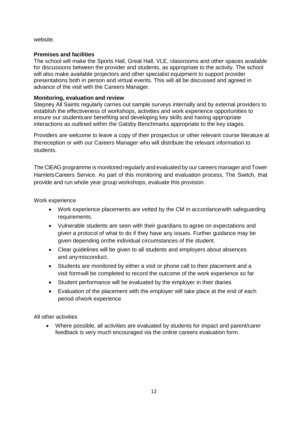website.

#### **Premises and facilities**

The school will make the Sports Hall, Great Hall, VLE, classrooms and other spaces available for discussions between the provider and students, as appropriate to the activity. The school will also make available projectors and other specialist equipment to support provider presentations both in person and virtual events. This will all be discussed and agreed in advance of the visit with the Careers Manager.

#### **Monitoring, evaluation and review**

Stepney All Saints regularly carries out sample surveys internally and by external providers to establish the effectiveness of workshops, activities and work experience opportunities to ensure our studentsare benefiting and developing key skills and having appropriate interactions as outlined within the Gatsby Benchmarks appropriate to the key stages.

Providers are welcome to leave a copy of their prospectus or other relevant course literature at thereception or with our Careers Manager who will distribute the relevant information to students.

The CIEAG programme is monitored regularly and evaluated by our careers manager and Tower HamletsCareers Service. As part of this monitoring and evaluation process, The Switch, that provide and run whole year group workshops, evaluate this provision.

Work experience

- Work experience placements are vetted by the CM in accordancewith safeguarding requirements.
- Vulnerable students are seen with their guardians to agree on expectations and given a protocol of what to do if they have any issues. Further guidance may be given depending onthe individual circumstances of the student.
- Clear guidelines will be given to all students and employers about absences and anymisconduct.
- Students are monitored by either a visit or phone call to their placement and a visit formwill be completed to record the outcome of the work experience so far
- Student performance will be evaluated by the employer in their diaries
- Evaluation of the placement with the employer will take place at the end of each period ofwork experience

All other activities

 Where possible, all activities are evaluated by students for impact and parent/carer feedback is very much encouraged via the online careers evaluation form.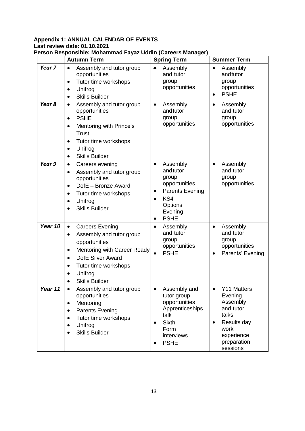#### **Appendix 1: ANNUAL CALENDAR OF EVENTS Last review date: 01.10.2021 Person Responsible: Mohammad Fayaz Uddin (Careers Manager)**

|                   | <b>Autumn Term</b>                                                                                                                                                                                                                                                             | <b>Spring Term</b>                                                                                                                             | <b>Summer Term</b>                                                                                                                    |
|-------------------|--------------------------------------------------------------------------------------------------------------------------------------------------------------------------------------------------------------------------------------------------------------------------------|------------------------------------------------------------------------------------------------------------------------------------------------|---------------------------------------------------------------------------------------------------------------------------------------|
| Year <sub>7</sub> | Assembly and tutor group<br>$\bullet$<br>opportunities<br>Tutor time workshops<br>$\bullet$<br>Unifrog<br>$\bullet$<br><b>Skills Builder</b><br>$\bullet$                                                                                                                      | Assembly<br>$\bullet$<br>and tutor<br>group<br>opportunities                                                                                   | Assembly<br>$\bullet$<br>andtutor<br>group<br>opportunities<br><b>PSHE</b><br>$\bullet$                                               |
| Year 8            | Assembly and tutor group<br>$\bullet$<br>opportunities<br><b>PSHE</b><br>$\bullet$<br>Mentoring with Prince's<br>$\bullet$<br><b>Trust</b><br>Tutor time workshops<br>$\bullet$<br>Unifrog<br>$\bullet$<br><b>Skills Builder</b><br>$\bullet$                                  | Assembly<br>$\bullet$<br>andtutor<br>group<br>opportunities                                                                                    | Assembly<br>$\bullet$<br>and tutor<br>group<br>opportunities                                                                          |
| Year 9            | Careers evening<br>$\bullet$<br>Assembly and tutor group<br>$\bullet$<br>opportunities<br>DofE - Bronze Award<br>$\bullet$<br>Tutor time workshops<br>$\bullet$<br>Unifrog<br>$\bullet$<br><b>Skills Builder</b><br>$\bullet$                                                  | Assembly<br>$\bullet$<br>andtutor<br>group<br>opportunities<br><b>Parents Evening</b><br>KS4<br>Options<br>Evening<br><b>PSHE</b><br>$\bullet$ | Assembly<br>$\bullet$<br>and tutor<br>group<br>opportunities                                                                          |
| Year 10           | <b>Careers Evening</b><br>$\bullet$<br>Assembly and tutor group<br>$\bullet$<br>opportunities<br>Mentoring with Career Ready<br>$\bullet$<br>DofE Silver Award<br>$\bullet$<br>Tutor time workshops<br>$\bullet$<br>Unifrog<br>$\bullet$<br><b>Skills Builder</b><br>$\bullet$ | Assembly<br>$\bullet$<br>and tutor<br>group<br>opportunities<br><b>PSHE</b><br>$\bullet$                                                       | Assembly<br>$\bullet$<br>and tutor<br>group<br>opportunities<br>Parents' Evening<br>٠                                                 |
| Year 11           | Assembly and tutor group<br>$\bullet$<br>opportunities<br>Mentoring<br>$\bullet$<br><b>Parents Evening</b><br>$\bullet$<br>Tutor time workshops<br>$\bullet$<br>Unifrog<br>$\bullet$<br><b>Skills Builder</b><br>$\bullet$                                                     | Assembly and<br>$\bullet$<br>tutor group<br>opportunities<br>Apprenticeships<br>talk<br><b>Sixth</b><br>Form<br>interviews<br><b>PSHE</b>      | Y11 Matters<br>Evening<br>Assembly<br>and tutor<br>talks<br>Results day<br>$\bullet$<br>work<br>experience<br>preparation<br>sessions |